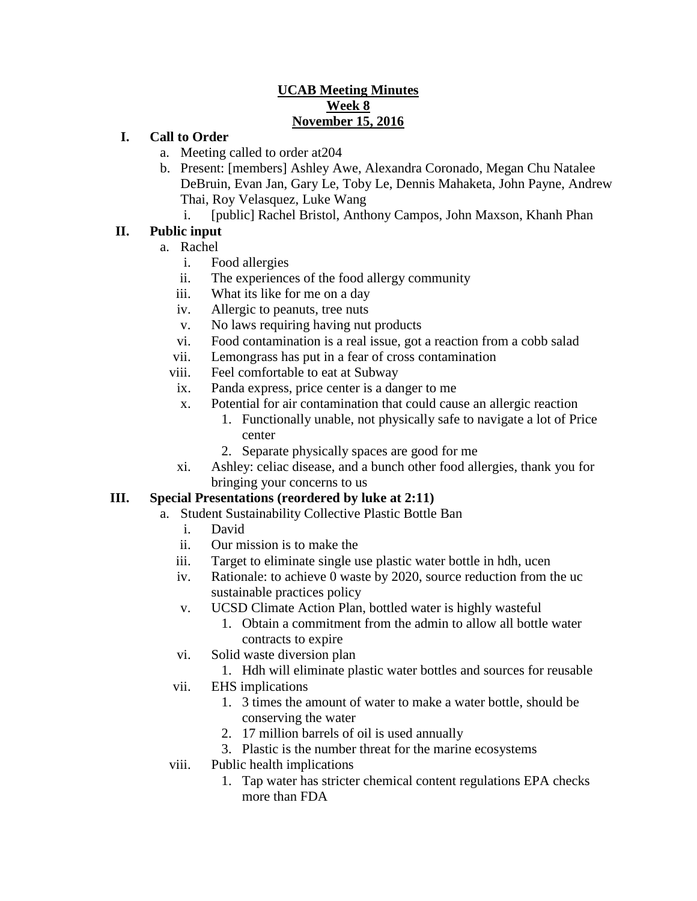#### **UCAB Meeting Minutes Week 8 November 15, 2016**

#### **I. Call to Order**

- a. Meeting called to order at204
- b. Present: [members] Ashley Awe, Alexandra Coronado, Megan Chu Natalee DeBruin, Evan Jan, Gary Le, Toby Le, Dennis Mahaketa, John Payne, Andrew Thai, Roy Velasquez, Luke Wang
	- i. [public] Rachel Bristol, Anthony Campos, John Maxson, Khanh Phan

## **II. Public input**

- a. Rachel
	- i. Food allergies
	- ii. The experiences of the food allergy community
	- iii. What its like for me on a day
	- iv. Allergic to peanuts, tree nuts
	- v. No laws requiring having nut products
	- vi. Food contamination is a real issue, got a reaction from a cobb salad
	- vii. Lemongrass has put in a fear of cross contamination
	- viii. Feel comfortable to eat at Subway
	- ix. Panda express, price center is a danger to me
	- x. Potential for air contamination that could cause an allergic reaction
		- 1. Functionally unable, not physically safe to navigate a lot of Price center
		- 2. Separate physically spaces are good for me
	- xi. Ashley: celiac disease, and a bunch other food allergies, thank you for bringing your concerns to us

## **III. Special Presentations (reordered by luke at 2:11)**

- a. Student Sustainability Collective Plastic Bottle Ban
	- i. David
	- ii. Our mission is to make the
	- iii. Target to eliminate single use plastic water bottle in hdh, ucen
	- iv. Rationale: to achieve 0 waste by 2020, source reduction from the uc sustainable practices policy
	- v. UCSD Climate Action Plan, bottled water is highly wasteful
		- 1. Obtain a commitment from the admin to allow all bottle water contracts to expire
	- vi. Solid waste diversion plan
		- 1. Hdh will eliminate plastic water bottles and sources for reusable
	- vii. EHS implications
		- 1. 3 times the amount of water to make a water bottle, should be conserving the water
		- 2. 17 million barrels of oil is used annually
		- 3. Plastic is the number threat for the marine ecosystems
	- viii. Public health implications
		- 1. Tap water has stricter chemical content regulations EPA checks more than FDA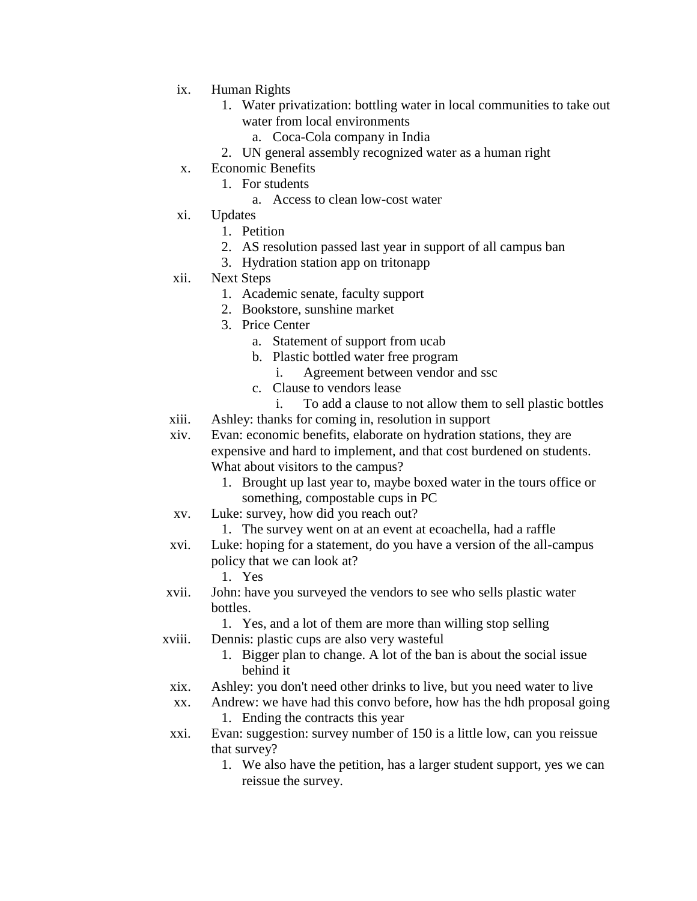- ix. Human Rights
	- 1. Water privatization: bottling water in local communities to take out water from local environments
		- a. Coca-Cola company in India
	- 2. UN general assembly recognized water as a human right
- x. Economic Benefits
	- 1. For students
		- a. Access to clean low-cost water
- xi. Updates
	- 1. Petition
	- 2. AS resolution passed last year in support of all campus ban
	- 3. Hydration station app on tritonapp
- xii. Next Steps
	- 1. Academic senate, faculty support
	- 2. Bookstore, sunshine market
	- 3. Price Center
		- a. Statement of support from ucab
		- b. Plastic bottled water free program
			- i. Agreement between vendor and ssc
		- c. Clause to vendors lease
			- i. To add a clause to not allow them to sell plastic bottles
- xiii. Ashley: thanks for coming in, resolution in support

xiv. Evan: economic benefits, elaborate on hydration stations, they are expensive and hard to implement, and that cost burdened on students. What about visitors to the campus?

- 1. Brought up last year to, maybe boxed water in the tours office or something, compostable cups in PC
- xv. Luke: survey, how did you reach out?
	- 1. The survey went on at an event at ecoachella, had a raffle
- xvi. Luke: hoping for a statement, do you have a version of the all-campus policy that we can look at?
	- 1. Yes
- xvii. John: have you surveyed the vendors to see who sells plastic water bottles.
	- 1. Yes, and a lot of them are more than willing stop selling
- xviii. Dennis: plastic cups are also very wasteful
	- 1. Bigger plan to change. A lot of the ban is about the social issue behind it
	- xix. Ashley: you don't need other drinks to live, but you need water to live
	- xx. Andrew: we have had this convo before, how has the hdh proposal going 1. Ending the contracts this year
	- xxi. Evan: suggestion: survey number of 150 is a little low, can you reissue that survey?
		- 1. We also have the petition, has a larger student support, yes we can reissue the survey.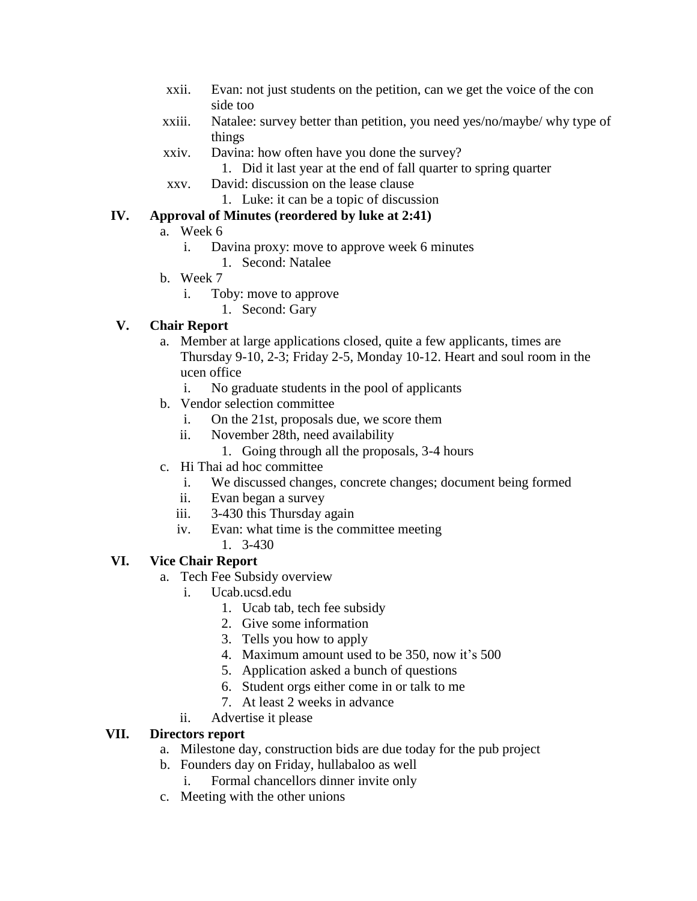- xxii. Evan: not just students on the petition, can we get the voice of the con side too
- xxiii. Natalee: survey better than petition, you need yes/no/maybe/ why type of things
- xxiv. Davina: how often have you done the survey?
	- 1. Did it last year at the end of fall quarter to spring quarter
- xxv. David: discussion on the lease clause
	- 1. Luke: it can be a topic of discussion

# **IV. Approval of Minutes (reordered by luke at 2:41)**

## a. Week 6

- i. Davina proxy: move to approve week 6 minutes
	- 1. Second: Natalee
- b. Week 7
	- i. Toby: move to approve
		- 1. Second: Gary

# **V. Chair Report**

- a. Member at large applications closed, quite a few applicants, times are Thursday 9-10, 2-3; Friday 2-5, Monday 10-12. Heart and soul room in the ucen office
	- i. No graduate students in the pool of applicants
- b. Vendor selection committee
	- i. On the 21st, proposals due, we score them
	- ii. November 28th, need availability
		- 1. Going through all the proposals, 3-4 hours
- c. Hi Thai ad hoc committee
	- i. We discussed changes, concrete changes; document being formed
	- ii. Evan began a survey
	- iii. 3-430 this Thursday again
	- iv. Evan: what time is the committee meeting
		- 1. 3-430

# **VI. Vice Chair Report**

- a. Tech Fee Subsidy overview
	- i. Ucab.ucsd.edu
		- 1. Ucab tab, tech fee subsidy
		- 2. Give some information
		- 3. Tells you how to apply
		- 4. Maximum amount used to be 350, now it's 500
		- 5. Application asked a bunch of questions
		- 6. Student orgs either come in or talk to me
		- 7. At least 2 weeks in advance
	- ii. Advertise it please

## **VII. Directors report**

- a. Milestone day, construction bids are due today for the pub project
- b. Founders day on Friday, hullabaloo as well
	- i. Formal chancellors dinner invite only
- c. Meeting with the other unions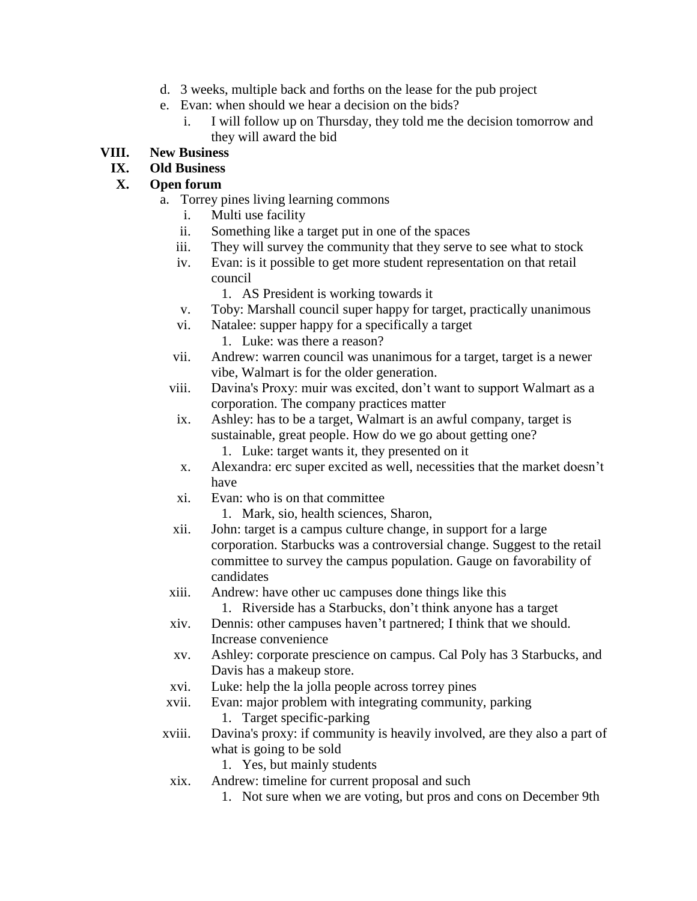- d. 3 weeks, multiple back and forths on the lease for the pub project
- e. Evan: when should we hear a decision on the bids?
	- i. I will follow up on Thursday, they told me the decision tomorrow and they will award the bid

### **VIII. New Business**

## **IX. Old Business**

#### **X. Open forum**

- a. Torrey pines living learning commons
	- i. Multi use facility
	- ii. Something like a target put in one of the spaces
	- iii. They will survey the community that they serve to see what to stock
	- iv. Evan: is it possible to get more student representation on that retail council
		- 1. AS President is working towards it
	- v. Toby: Marshall council super happy for target, practically unanimous
	- vi. Natalee: supper happy for a specifically a target
		- 1. Luke: was there a reason?
	- vii. Andrew: warren council was unanimous for a target, target is a newer vibe, Walmart is for the older generation.
	- viii. Davina's Proxy: muir was excited, don't want to support Walmart as a corporation. The company practices matter
	- ix. Ashley: has to be a target, Walmart is an awful company, target is sustainable, great people. How do we go about getting one?
		- 1. Luke: target wants it, they presented on it
	- x. Alexandra: erc super excited as well, necessities that the market doesn't have
	- xi. Evan: who is on that committee
		- 1. Mark, sio, health sciences, Sharon,
	- xii. John: target is a campus culture change, in support for a large corporation. Starbucks was a controversial change. Suggest to the retail committee to survey the campus population. Gauge on favorability of candidates
	- xiii. Andrew: have other uc campuses done things like this
		- 1. Riverside has a Starbucks, don't think anyone has a target
	- xiv. Dennis: other campuses haven't partnered; I think that we should. Increase convenience
	- xv. Ashley: corporate prescience on campus. Cal Poly has 3 Starbucks, and Davis has a makeup store.
- xvi. Luke: help the la jolla people across torrey pines
- xvii. Evan: major problem with integrating community, parking
	- 1. Target specific-parking
- xviii. Davina's proxy: if community is heavily involved, are they also a part of what is going to be sold
	- 1. Yes, but mainly students
	- xix. Andrew: timeline for current proposal and such
		- 1. Not sure when we are voting, but pros and cons on December 9th